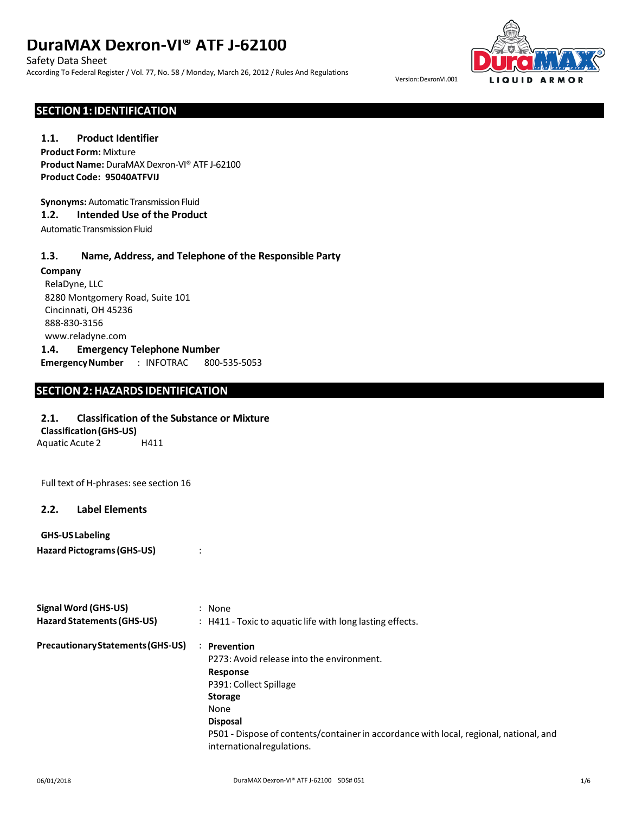Safety Data Sheet

According To Federal Register / Vol. 77, No. 58 / Monday, March 26, 2012 / Rules And Regulations



Version:DexronVI.001

### **SECTION1: IDENTIFICATION**

#### **1.1. Product Identifier**

**Product Form:** Mixture **Product Name:** DuraMAX Dexron-VI® ATF J-62100 **Product Code: 95040ATFVIJ**

**Synonyms: Automatic Transmission Fluid** 

# **1.2. Intended Use of the Product**

Automatic Transmission Fluid

#### **1.3. Name, Address, and Telephone of the Responsible Party**

#### **Company**

RelaDyne, LLC 8280 Montgomery Road, Suite 101 Cincinnati, OH 45236 888-830-3156 www.reladyne.com **1.4. Emergency Telephone Number EmergencyNumber** : INFOTRAC 800-535-5053

# **SECTION2: HAZARDS IDENTIFICATION**

### **2.1. Classification of the Substance or Mixture**

#### **Classification(GHS-US)**

Aquatic Acute 2 H411

Full text of H-phrases: see section 16

### **2.2. Label Elements**

#### **GHS-US Labeling**

**Hazard Pictograms(GHS-US)** :

| <b>Signal Word (GHS-US)</b>       | : None                                                                                                               |  |  |
|-----------------------------------|----------------------------------------------------------------------------------------------------------------------|--|--|
| Hazard Statements (GHS-US)        | $\therefore$ H411 - Toxic to aquatic life with long lasting effects.                                                 |  |  |
| Precautionary Statements (GHS-US) | <b>Prevention</b><br>$\ddot{\phantom{0}}$                                                                            |  |  |
|                                   | P273: Avoid release into the environment.                                                                            |  |  |
|                                   | Response                                                                                                             |  |  |
|                                   | P391: Collect Spillage                                                                                               |  |  |
|                                   | <b>Storage</b>                                                                                                       |  |  |
|                                   | None                                                                                                                 |  |  |
|                                   | <b>Disposal</b>                                                                                                      |  |  |
|                                   | P501 - Dispose of contents/container in accordance with local, regional, national, and<br>international regulations. |  |  |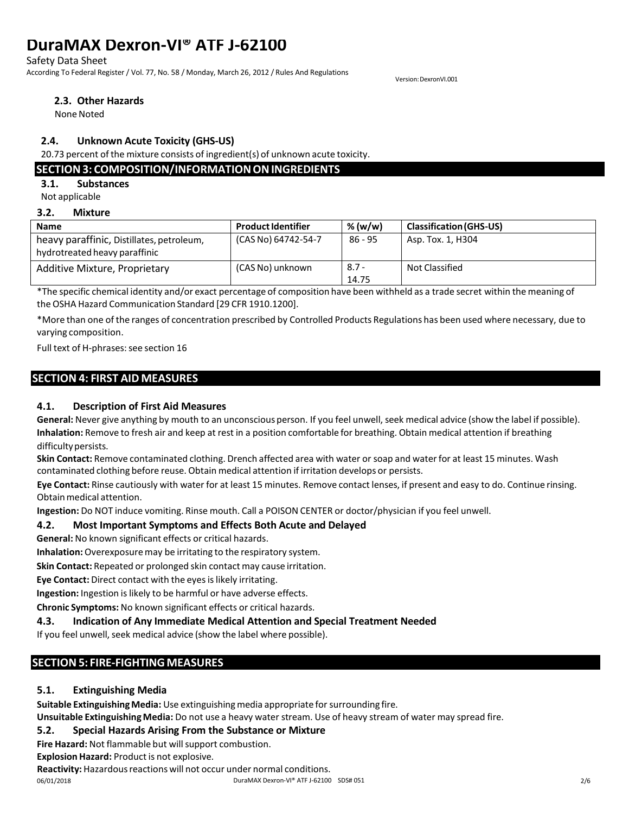Safety Data Sheet

According To Federal Register / Vol. 77, No. 58 / Monday, March 26, 2012 / Rules And Regulations

Version:DexronVI.001

#### **2.3. Other Hazards**

None Noted

# **2.4. Unknown Acute Toxicity (GHS-US)**

20.73 percent of the mixture consists of ingredient(s) of unknown acute toxicity.

# **SECTION3: COMPOSITION/INFORMATIONONINGREDIENTS**

**3.1. Substances**

Not applicable

#### **3.2. Mixture**

| <b>Name</b>                                                                | <b>Product Identifier</b> | % $(w/w)$        | <b>Classification (GHS-US)</b> |
|----------------------------------------------------------------------------|---------------------------|------------------|--------------------------------|
| heavy paraffinic, Distillates, petroleum,<br>hydrotreated heavy paraffinic | (CAS No) 64742-54-7       | $86 - 95$        | Asp. Tox. 1, H304              |
| Additive Mixture, Proprietary                                              | (CAS No) unknown          | $8.7 -$<br>14.75 | Not Classified                 |

\*The specific chemical identity and/or exact percentage of composition have been withheld as a trade secret within the meaning of theOSHA Hazard Communication Standard [29 CFR 1910.1200].

\*More than one of the ranges of concentration prescribed by Controlled Products Regulations has been used where necessary, due to varying composition.

Full text of H-phrases: see section 16

# **SECTION 4: FIRST AID MEASURES**

# **4.1. Description of First Aid Measures**

**General:** Never give anything by mouth to an unconscious person. If you feel unwell, seek medical advice (show the label if possible). **Inhalation:** Remove to fresh air and keep at rest in a position comfortable for breathing. Obtain medical attention if breathing difficulty persists.

**Skin Contact:** Remove contaminated clothing. Drench affected area with water or soap and waterfor at least 15 minutes. Wash contaminated clothing before reuse. Obtain medical attention if irritation develops or persists.

**Eye Contact:** Rinse cautiously with water for at least 15 minutes. Remove contact lenses, if present and easy to do. Continue rinsing. Obtainmedical attention.

**Ingestion:** Do NOT induce vomiting. Rinse mouth. Call a POISON CENTER or doctor/physician if you feel unwell.

# **4.2. Most Important Symptoms and Effects Both Acute and Delayed**

**General:** No known significant effects or critical hazards.

**Inhalation:**Overexposuremay be irritating to the respiratory system.

**Skin Contact:** Repeated or prolonged skin contact may cause irritation.

**Eye Contact:** Direct contact with the eyesislikely irritating.

**Ingestion:** Ingestion islikely to be harmful or have adverse effects.

**Chronic Symptoms:** No known significant effects or critical hazards.

# **4.3. Indication of Any Immediate Medical Attention and Special Treatment Needed**

If you feel unwell, seek medical advice (show the label where possible).

# **SECTION5: FIRE-FIGHTINGMEASURES**

# **5.1. Extinguishing Media**

**Suitable ExtinguishingMedia:** Use extinguishingmedia appropriate forsurrounding fire.

**Unsuitable ExtinguishingMedia:** Do not use a heavy water stream. Use of heavy stream of water may spread fire.

# **5.2. Special Hazards Arising From the Substance or Mixture**

**Fire Hazard:** Not flammable but willsupport combustion.

**Explosion Hazard:** Product is not explosive.

Reactivity: Hazardous reactions will not occur under normal conditions.

06/01/2018 DuraMAX Dexron-VI® ATF J-62100 SDS# 051 2/6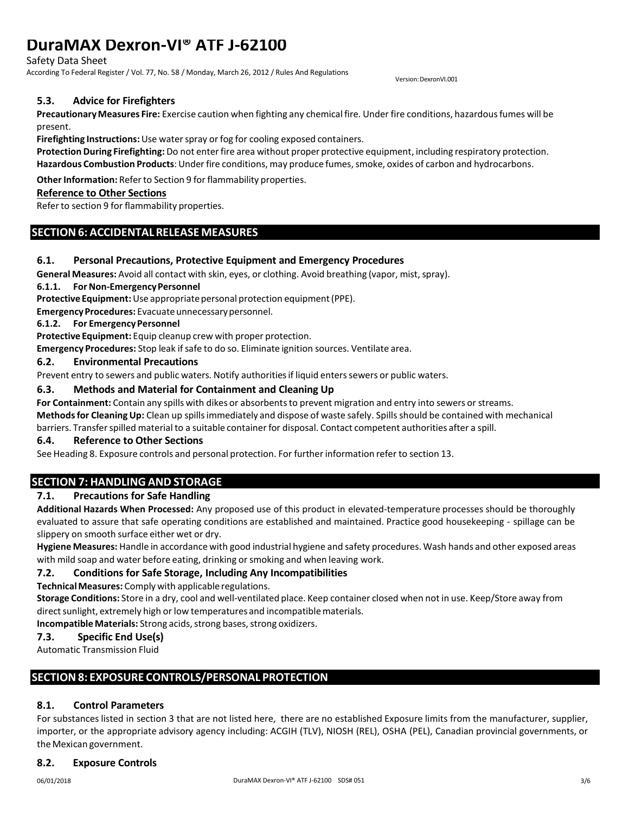Safety Data Sheet

According To Federal Register / Vol. 77, No. 58 / Monday, March 26, 2012 / Rules And Regulations

Version:DexronVI.001

### **5.3. Advice for Firefighters**

**PrecautionaryMeasures Fire:** Exercise caution when fighting any chemical fire. Under fire conditions, hazardousfumes will be present.

**Firefighting Instructions:**Use waterspray or fog for cooling exposed containers.

**Protection During Firefighting:** Do not enterfire area without proper protective equipment, including respiratory protection. Hazardous Combustion Products: Under fire conditions, may produce fumes, smoke, oxides of carbon and hydrocarbons.

Other Information: Refer to Section 9 for flammability properties.

#### **Reference to Other Sections**

Refer to section 9 for flammability properties.

# **SECTION6: ACCIDENTALRELEASE MEASURES**

#### **6.1. Personal Precautions, Protective Equipment and Emergency Procedures**

**General Measures:** Avoid all contact with skin, eyes, or clothing. Avoid breathing (vapor, mist, spray).

**6.1.1.** For Non-Emergency Personnel

**Protective Equipment:** Use appropriate personal protection equipment (PPE).

**Emergency Procedures:** Evacuate unnecessary personnel.

#### **6.1.2. For EmergencyPersonnel**

**Protective Equipment:** Equip cleanup crew with proper protection.

**Emergency Procedures:** Stop leak if safe to do so. Eliminate ignition sources. Ventilate area.

#### **6.2. Environmental Precautions**

Prevent entry to sewers and public waters. Notify authoritiesif liquid enterssewers or public waters.

#### **6.3. Methods and Material for Containment and Cleaning Up**

**For Containment:** Contain any spills with dikes or absorbentsto prevent migration and entry into sewers or streams. **Methodsfor Cleaning Up:** Clean up spillsimmediately and dispose of waste safely. Spills should be contained with mechanical

barriers. Transfer spilled material to a suitable container for disposal. Contact competent authorities after a spill.

#### **6.4. Reference to Other Sections**

See Heading 8. Exposure controls and personal protection. For further information refer to section 13.

# **SECTION 7: HANDLING AND STORAGE**

#### **7.1. Precautions for Safe Handling**

**Additional Hazards When Processed:** Any proposed use of this product in elevated-temperature processes should be thoroughly evaluated to assure that safe operating conditions are established and maintained. Practice good housekeeping - spillage can be slippery on smooth surface either wet or dry.

**Hygiene Measures:** Handle in accordance with good industrial hygiene and safety procedures. Wash hands and other exposed areas with mild soap and water before eating, drinking or smoking and when leaving work.

#### **7.2. Conditions for Safe Storage, Including Any Incompatibilities**

**TechnicalMeasures:** Comply with applicable regulations.

**Storage Conditions:** Store in a dry, cool and well-ventilated place. Keep container closed when not in use. Keep/Store away from direct sunlight, extremely high or low temperatures and incompatible materials.

**Incompatible Materials:** Strong acids, strong bases, strong oxidizers.

#### **7.3. Specific End Use(s)**

Automatic Transmission Fluid

# **SECTION8: EXPOSURE CONTROLS/PERSONAL PROTECTION**

#### **8.1. Control Parameters**

For substances listed in section 3 that are not listed here, there are no established Exposure limits from the manufacturer, supplier, importer, or the appropriate advisory agency including: ACGIH (TLV), NIOSH (REL), OSHA (PEL), Canadian provincial governments, or the Mexican government.

#### **8.2. Exposure Controls**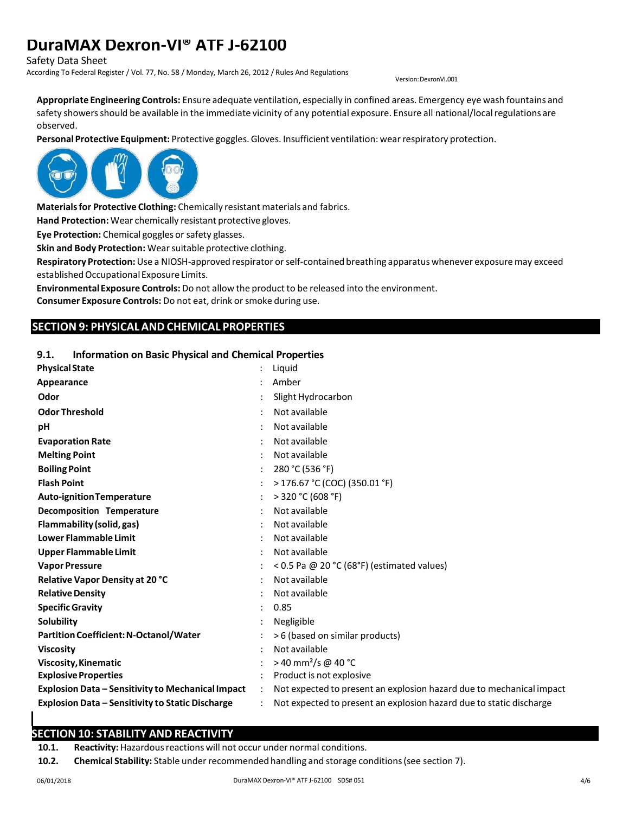Safety Data Sheet

According To Federal Register / Vol. 77, No. 58 / Monday, March 26, 2012 / Rules And Regulations

Version:DexronVI.001

**Appropriate Engineering Controls:** Ensure adequate ventilation, especially in confined areas. Emergency eye wash fountains and safety showers should be available in the immediate vicinity of any potential exposure. Ensure all national/local regulations are observed.

**Personal Protective Equipment:** Protective goggles.Gloves. Insufficient ventilation: wearrespiratory protection.



**Materialsfor Protective Clothing:** Chemically resistant materials and fabrics.

**Hand Protection:** Wear chemically resistant protective gloves.

**Eye Protection:** Chemical goggles or safety glasses.

**Skin and Body Protection:** Wearsuitable protective clothing.

**Respiratory Protection:**Use a NIOSH-approved respirator orself-contained breathing apparatus whenever exposuremay exceed established Occupational Exposure Limits.

**Environmental Exposure Controls:** Do not allow the product to be released into the environment.

**Consumer Exposure Controls:** Do not eat, drink or smoke during use.

#### **SECTION 9: PHYSICAL AND CHEMICAL PROPERTIES**

#### **9.1. Information on Basic Physical and Chemical Properties**

| <b>Physical State</b>                                   | Liquid                                                               |
|---------------------------------------------------------|----------------------------------------------------------------------|
| Appearance                                              | Amber                                                                |
| Odor                                                    | Slight Hydrocarbon                                                   |
| <b>Odor Threshold</b>                                   | Not available                                                        |
| pH                                                      | Not available                                                        |
| <b>Evaporation Rate</b>                                 | Not available                                                        |
| <b>Melting Point</b>                                    | Not available                                                        |
| <b>Boiling Point</b>                                    | 280 °C (536 °F)                                                      |
| <b>Flash Point</b>                                      | > 176.67 °C (COC) (350.01 °F)                                        |
| <b>Auto-ignition Temperature</b>                        | $>$ 320 °C (608 °F)                                                  |
| Decomposition Temperature                               | Not available                                                        |
| Flammability (solid, gas)                               | Not available                                                        |
| <b>Lower Flammable Limit</b>                            | Not available                                                        |
| <b>Upper Flammable Limit</b>                            | Not available                                                        |
| <b>Vapor Pressure</b>                                   | < 0.5 Pa @ 20 °C (68°F) (estimated values)                           |
| Relative Vapor Density at 20 °C                         | Not available                                                        |
| <b>Relative Density</b>                                 | Not available                                                        |
| <b>Specific Gravity</b>                                 | 0.85                                                                 |
| Solubility                                              | Negligible                                                           |
| <b>Partition Coefficient: N-Octanol/Water</b>           | >6 (based on similar products)                                       |
| <b>Viscosity</b>                                        | Not available                                                        |
| <b>Viscosity, Kinematic</b>                             | > 40 mm <sup>2</sup> /s @ 40 °C                                      |
| <b>Explosive Properties</b>                             | Product is not explosive                                             |
| Explosion Data – Sensitivity to Mechanical Impact       | Not expected to present an explosion hazard due to mechanical impact |
| <b>Explosion Data - Sensitivity to Static Discharge</b> | Not expected to present an explosion hazard due to static discharge  |

# **SECTION 10: STABILITY AND REACTIVITY**

10.1. **Reactivity:** Hazardous reactions will not occur under normal conditions.

**10.2. Chemical Stability:** Stable under recommended handling and storage conditions(see section 7).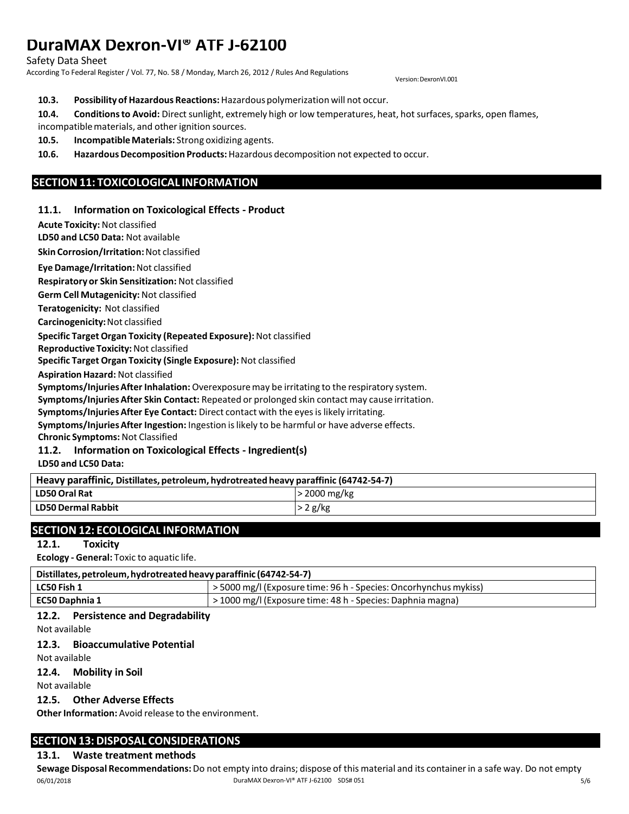Safety Data Sheet

According To Federal Register / Vol. 77, No. 58 / Monday, March 26, 2012 / Rules And Regulations

Version:DexronVI.001

#### **10.3. Possibility of Hazardous Reactions:** Hazardouspolymerization will not occur.

10.4. Conditions to Avoid: Direct sunlight, extremely high or low temperatures, heat, hot surfaces, sparks, open flames, incompatible materials, and other ignition sources.

**10.5. IncompatibleMaterials:** Strong oxidizing agents.

**10.6. Hazardous Decomposition Products:** Hazardous decomposition not expected to occur.

# **SECTION11: TOXICOLOGICAL INFORMATION**

#### **11.1. Information on Toxicological Effects - Product**

**Acute Toxicity:**Not classified

**LD50 and LC50 Data:** Not available

**Skin Corrosion/Irritation:**Not classified

**Eye Damage/Irritation:**Not classified

**Respiratory or Skin Sensitization:** Not classified

**Germ Cell Mutagenicity:**Not classified

**Teratogenicity:** Not classified

**Carcinogenicity:**Not classified

#### **Specific Target Organ Toxicity (Repeated Exposure):**Not classified

**Reproductive Toxicity:**Not classified

**Specific Target Organ Toxicity (Single Exposure):** Not classified

**Aspiration Hazard:** Not classified

**Symptoms/InjuriesAfter Inhalation:** Overexposuremay be irritating to the respiratory system.

**Symptoms/InjuriesAfter Skin Contact:** Repeated or prolonged skin contact may cause irritation.

**Symptoms/InjuriesAfter Eye Contact:** Direct contact with the eyesislikely irritating.

**Symptoms/InjuriesAfter Ingestion:** Ingestion islikely to be harmful or have adverse effects.

**Chronic Symptoms:**Not Classified

# **11.2. Information on Toxicological Effects - Ingredient(s)**

**LD50 and LC50 Data:**

| Heavy paraffinic, Distillates, petroleum, hydrotreated heavy paraffinic (64742-54-7) |                    |  |
|--------------------------------------------------------------------------------------|--------------------|--|
| <b>LD50 Oral Rat</b>                                                                 | $\cdot$ 2000 mg/kg |  |
| <b>LD50 Dermal Rabbit</b>                                                            | $\cdot$ 2 g/kg     |  |

# **SECTION12: ECOLOGICAL INFORMATION**

#### **12.1. Toxicity**

**Ecology - General:** Toxic to aquatic life.

| Distillates, petroleum, hydrotreated heavy paraffinic (64742-54-7) |                                                                |  |
|--------------------------------------------------------------------|----------------------------------------------------------------|--|
| LC50 Fish 1                                                        | 5000 mg/l (Exposure time: 96 h - Species: Oncorhynchus mykiss) |  |
| <b>EC50 Daphnia 1</b>                                              | > 1000 mg/l (Exposure time: 48 h - Species: Daphnia magna)     |  |

# **12.2. Persistence and Degradability**

Not available

#### **12.3. Bioaccumulative Potential**

Not available

#### **12.4. Mobility in Soil**

Not available

#### **12.5. Other Adverse Effects**

**Other Information:** Avoid release to the environment.

# **SECTION13:DISPOSAL CONSIDERATIONS**

# **13.1. Waste treatment methods**

06/01/2018 DuraMAX Dexron-VI® ATF J-62100 SDS# 051 5/6 **Sewage Disposal Recommendations:**Do not empty into drains; dispose of this material and its containerin a safe way. Do not empty